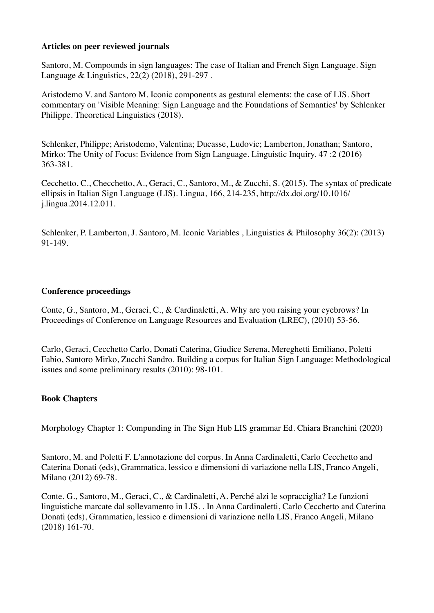# **Articles on peer reviewed journals**

Santoro, M. Compounds in sign languages: The case of Italian and French Sign Language. Sign Language & Linguistics, 22(2) (2018), 291-297 .

Aristodemo V. and Santoro M. Iconic components as gestural elements: the case of LIS. Short commentary on 'Visible Meaning: Sign Language and the Foundations of Semantics' by Schlenker Philippe. Theoretical Linguistics (2018).

Schlenker, Philippe; Aristodemo, Valentina; Ducasse, Ludovic; Lamberton, Jonathan; Santoro, Mirko: The Unity of Focus: Evidence from Sign Language. Linguistic Inquiry. 47 :2 (2016) 363-381.

Cecchetto, C., Checchetto, A., Geraci, C., Santoro, M., & Zucchi, S. (2015). The syntax of predicate ellipsis in Italian Sign Language (LIS). Lingua, 166, 214-235, http://dx.doi.org/10.1016/ j.lingua.2014.12.011.

Schlenker, P. Lamberton, J. Santoro, M. Iconic Variables , Linguistics & Philosophy 36(2): (2013) 91-149.

### **Conference proceedings**

Conte, G., Santoro, M., Geraci, C., & Cardinaletti, A. Why are you raising your eyebrows? In Proceedings of Conference on Language Resources and Evaluation (LREC), (2010) 53-56.

Carlo, Geraci, Cecchetto Carlo, Donati Caterina, Giudice Serena, Mereghetti Emiliano, Poletti Fabio, Santoro Mirko, Zucchi Sandro. Building a corpus for Italian Sign Language: Methodological issues and some preliminary results (2010): 98-101.

#### **Book Chapters**

Morphology Chapter 1: Compunding in The Sign Hub LIS grammar Ed. Chiara Branchini (2020)

Santoro, M. and Poletti F. L'annotazione del corpus. In Anna Cardinaletti, Carlo Cecchetto and Caterina Donati (eds), Grammatica, lessico e dimensioni di variazione nella LIS, Franco Angeli, Milano (2012) 69-78.

Conte, G., Santoro, M., Geraci, C., & Cardinaletti, A. Perché alzi le sopracciglia? Le funzioni linguistiche marcate dal sollevamento in LIS. . In Anna Cardinaletti, Carlo Cecchetto and Caterina Donati (eds), Grammatica, lessico e dimensioni di variazione nella LIS, Franco Angeli, Milano (2018) 161-70.